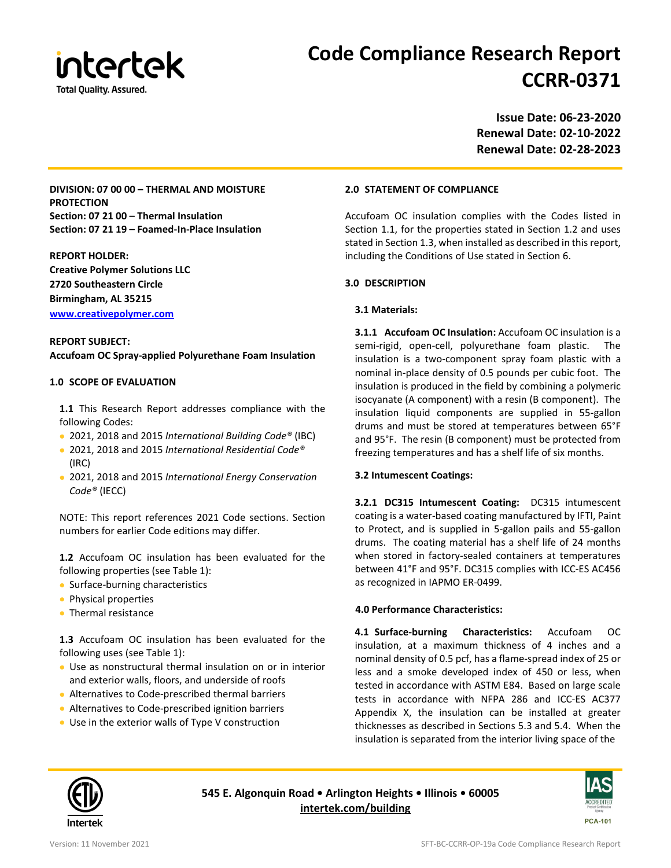

# **Code Compliance Research Report CCRR-0371**

**Issue Date: 06-23-2020 Renewal Date: 02-10-2022 Renewal Date: 02-28-2023**

**DIVISION: 07 00 00 – THERMAL AND MOISTURE PROTECTION Section: 07 21 00 – Thermal Insulation Section: 07 21 19 – Foamed-In-Place Insulation**

**REPORT HOLDER: Creative Polymer Solutions LLC 2720 Southeastern Circle Birmingham, AL 35215 [www.creativepolymer.com](http://www.creativepolymer.com/)**

**REPORT SUBJECT: Accufoam OC Spray-applied Polyurethane Foam Insulation**

# **1.0 SCOPE OF EVALUATION**

**1.1** This Research Report addresses compliance with the following Codes:

- 2021, 2018 and 2015 *International Building Code®* (IBC)
- 2021, 2018 and 2015 *International Residential Code®*  (IRC)
- 2021, 2018 and 2015 *International Energy Conservation Code®* (IECC)

NOTE: This report references 2021 Code sections. Section numbers for earlier Code editions may differ.

**1.2** Accufoam OC insulation has been evaluated for the following properties (see Table 1):

- Surface-burning characteristics
- Physical properties
- Thermal resistance

**1.3** Accufoam OC insulation has been evaluated for the following uses (see Table 1):

- Use as nonstructural thermal insulation on or in interior and exterior walls, floors, and underside of roofs
- Alternatives to Code-prescribed thermal barriers
- Alternatives to Code-prescribed ignition barriers
- Use in the exterior walls of Type V construction

**2.0 STATEMENT OF COMPLIANCE**

Accufoam OC insulation complies with the Codes listed in Section 1.1, for the properties stated in Section 1.2 and uses stated in Section 1.3, when installed as described in this report, including the Conditions of Use stated in Section 6.

# **3.0 DESCRIPTION**

# **3.1 Materials:**

**3.1.1 Accufoam OC Insulation:** Accufoam OC insulation is a semi-rigid, open-cell, polyurethane foam plastic. The insulation is a two-component spray foam plastic with a nominal in-place density of 0.5 pounds per cubic foot. The insulation is produced in the field by combining a polymeric isocyanate (A component) with a resin (B component). The insulation liquid components are supplied in 55-gallon drums and must be stored at temperatures between 65°F and 95°F. The resin (B component) must be protected from freezing temperatures and has a shelf life of six months.

# **3.2 Intumescent Coatings:**

**3.2.1 DC315 Intumescent Coating:** DC315 intumescent coating is a water-based coating manufactured by IFTI, Paint to Protect, and is supplied in 5-gallon pails and 55-gallon drums. The coating material has a shelf life of 24 months when stored in factory-sealed containers at temperatures between 41°F and 95°F. DC315 complies with ICC-ES AC456 as recognized in IAPMO ER-0499.

# **4.0 Performance Characteristics:**

**4.1 Surface-burning Characteristics:** Accufoam OC insulation, at a maximum thickness of 4 inches and a nominal density of 0.5 pcf, has a flame-spread index of 25 or less and a smoke developed index of 450 or less, when tested in accordance with ASTM E84. Based on large scale tests in accordance with NFPA 286 and ICC-ES AC377 Appendix X, the insulation can be installed at greater thicknesses as described in Sections 5.3 and 5.4. When the insulation is separated from the interior living space of the



**545 E. Algonquin Road • Arlington Heights • Illinois • 60005 [intertek.com/building](http://www.intertek.com/building/)**

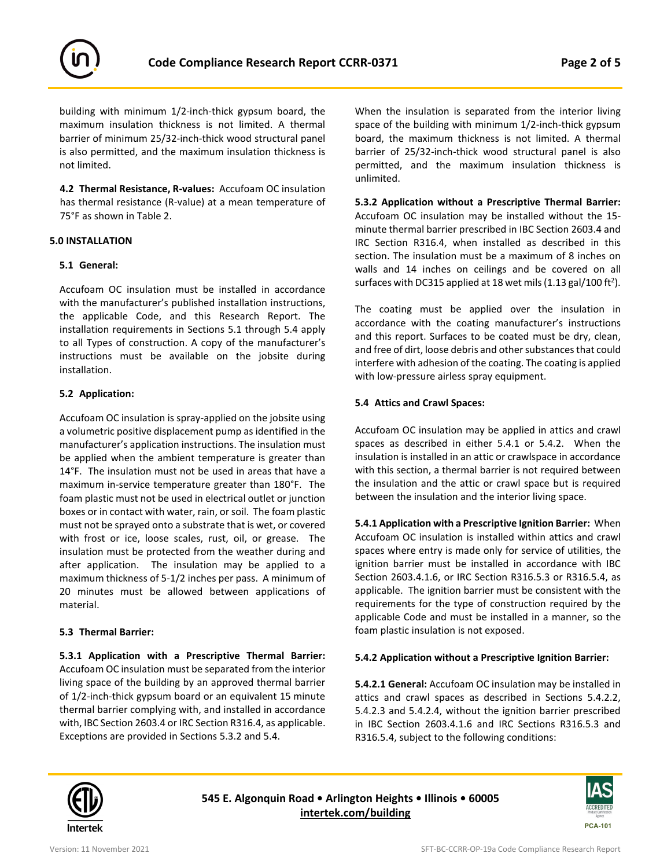

building with minimum 1/2-inch-thick gypsum board, the maximum insulation thickness is not limited. A thermal barrier of minimum 25/32-inch-thick wood structural panel is also permitted, and the maximum insulation thickness is not limited.

**4.2 Thermal Resistance, R-values:** Accufoam OC insulation has thermal resistance (R-value) at a mean temperature of 75°F as shown in Table 2.

## **5.0 INSTALLATION**

## **5.1 General:**

Accufoam OC insulation must be installed in accordance with the manufacturer's published installation instructions, the applicable Code, and this Research Report. The installation requirements in Sections 5.1 through 5.4 apply to all Types of construction. A copy of the manufacturer's instructions must be available on the jobsite during installation.

## **5.2 Application:**

Accufoam OC insulation is spray-applied on the jobsite using a volumetric positive displacement pump as identified in the manufacturer's application instructions. The insulation must be applied when the ambient temperature is greater than 14°F. The insulation must not be used in areas that have a maximum in-service temperature greater than 180°F. The foam plastic must not be used in electrical outlet or junction boxes or in contact with water, rain, or soil. The foam plastic must not be sprayed onto a substrate that is wet, or covered with frost or ice, loose scales, rust, oil, or grease. The insulation must be protected from the weather during and after application. The insulation may be applied to a maximum thickness of 5-1/2 inches per pass. A minimum of 20 minutes must be allowed between applications of material.

## **5.3 Thermal Barrier:**

**5.3.1 Application with a Prescriptive Thermal Barrier:**  Accufoam OC insulation must be separated from the interior living space of the building by an approved thermal barrier of 1/2-inch-thick gypsum board or an equivalent 15 minute thermal barrier complying with, and installed in accordance with, IBC Section 2603.4 or IRC Section R316.4, as applicable. Exceptions are provided in Sections 5.3.2 and 5.4.

When the insulation is separated from the interior living space of the building with minimum 1/2-inch-thick gypsum board, the maximum thickness is not limited. A thermal barrier of 25/32-inch-thick wood structural panel is also permitted, and the maximum insulation thickness is unlimited.

**5.3.2 Application without a Prescriptive Thermal Barrier:**  Accufoam OC insulation may be installed without the 15 minute thermal barrier prescribed in IBC Section 2603.4 and IRC Section R316.4, when installed as described in this section. The insulation must be a maximum of 8 inches on walls and 14 inches on ceilings and be covered on all surfaces with DC315 applied at 18 wet mils (1.13 gal/100 ft<sup>2</sup>).

The coating must be applied over the insulation in accordance with the coating manufacturer's instructions and this report. Surfaces to be coated must be dry, clean, and free of dirt, loose debris and other substances that could interfere with adhesion of the coating. The coating is applied with low-pressure airless spray equipment.

## **5.4 Attics and Crawl Spaces:**

Accufoam OC insulation may be applied in attics and crawl spaces as described in either 5.4.1 or 5.4.2. When the insulation is installed in an attic or crawlspace in accordance with this section, a thermal barrier is not required between the insulation and the attic or crawl space but is required between the insulation and the interior living space.

**5.4.1 Application with a Prescriptive Ignition Barrier:** When Accufoam OC insulation is installed within attics and crawl spaces where entry is made only for service of utilities, the ignition barrier must be installed in accordance with IBC Section 2603.4.1.6, or IRC Section R316.5.3 or R316.5.4, as applicable. The ignition barrier must be consistent with the requirements for the type of construction required by the applicable Code and must be installed in a manner, so the foam plastic insulation is not exposed.

# **5.4.2 Application without a Prescriptive Ignition Barrier:**

**5.4.2.1 General:** Accufoam OC insulation may be installed in attics and crawl spaces as described in Sections 5.4.2.2, 5.4.2.3 and 5.4.2.4, without the ignition barrier prescribed in IBC Section 2603.4.1.6 and IRC Sections R316.5.3 and R316.5.4, subject to the following conditions:



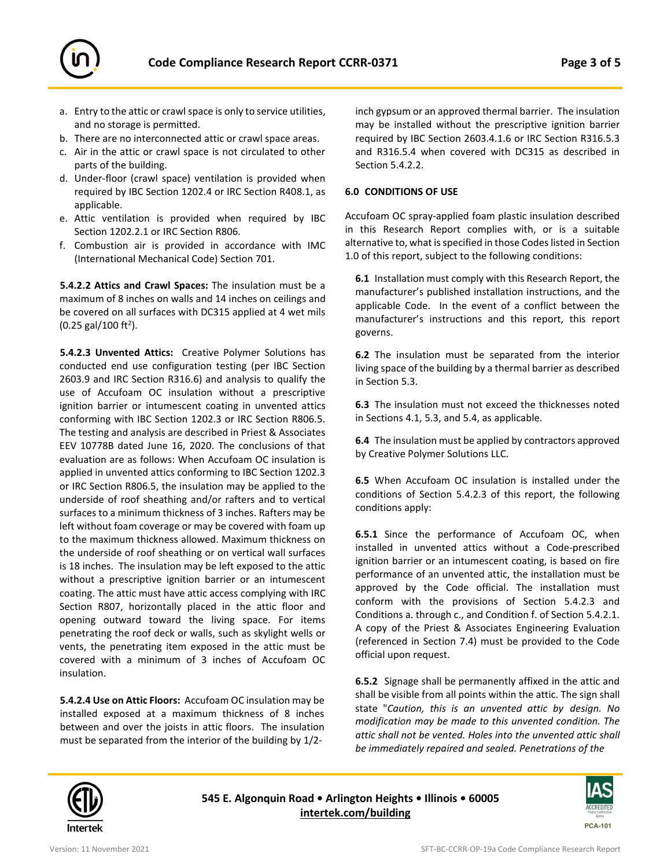

- a. Entry to the attic or crawl space is only to service utilities, and no storage is permitted.
- b. There are no interconnected attic or crawl space areas.
- c. Air in the attic or crawl space is not circulated to other parts of the building.
- d. Under-floor (crawl space) ventilation is provided when required by IBC Section 1202.4 or IRC Section R408.1, as applicable.
- e. Attic ventilation is provided when required by IBC Section 1202.2.1 or IRC Section R806.
- f. Combustion air is provided in accordance with IMC (International Mechanical Code) Section 701.

**5.4.2.2 Attics and Crawl Spaces:** The insulation must be a maximum of 8 inches on walls and 14 inches on ceilings and be covered on all surfaces with DC315 applied at 4 wet mils  $(0.25 \text{ gal}/100 \text{ ft}^2).$ 

**5.4.2.3 Unvented Attics:** Creative Polymer Solutions has conducted end use configuration testing (per IBC Section 2603.9 and IRC Section R316.6) and analysis to qualify the use of Accufoam OC insulation without a prescriptive ignition barrier or intumescent coating in unvented attics conforming with IBC Section 1202.3 or IRC Section R806.5. The testing and analysis are described in Priest & Associates EEV 10778B dated June 16, 2020. The conclusions of that evaluation are as follows: When Accufoam OC insulation is applied in unvented attics conforming to IBC Section 1202.3 or IRC Section R806.5, the insulation may be applied to the underside of roof sheathing and/or rafters and to vertical surfaces to a minimum thickness of 3 inches. Rafters may be left without foam coverage or may be covered with foam up to the maximum thickness allowed. Maximum thickness on the underside of roof sheathing or on vertical wall surfaces is 18 inches. The insulation may be left exposed to the attic without a prescriptive ignition barrier or an intumescent coating. The attic must have attic access complying with IRC Section R807, horizontally placed in the attic floor and opening outward toward the living space. For items penetrating the roof deck or walls, such as skylight wells or vents, the penetrating item exposed in the attic must be covered with a minimum of 3 inches of Accufoam OC insulation.

**5.4.2.4 Use on Attic Floors:** Accufoam OC insulation may be installed exposed at a maximum thickness of 8 inches between and over the joists in attic floors. The insulation must be separated from the interior of the building by 1/2inch gypsum or an approved thermal barrier. The insulation may be installed without the prescriptive ignition barrier required by IBC Section 2603.4.1.6 or IRC Section R316.5.3 and R316.5.4 when covered with DC315 as described in Section 5.4.2.2.

## **6.0 CONDITIONS OF USE**

Accufoam OC spray-applied foam plastic insulation described in this Research Report complies with, or is a suitable alternative to, what is specified in those Codes listed in Section 1.0 of this report, subject to the following conditions:

**6.1** Installation must comply with this Research Report, the manufacturer's published installation instructions, and the applicable Code. In the event of a conflict between the manufacturer's instructions and this report, this report governs.

**6.2** The insulation must be separated from the interior living space of the building by a thermal barrier as described in Section 5.3.

**6.3** The insulation must not exceed the thicknesses noted in Sections 4.1, 5.3, and 5.4, as applicable.

**6.4** The insulation must be applied by contractors approved by Creative Polymer Solutions LLC.

**6.5** When Accufoam OC insulation is installed under the conditions of Section 5.4.2.3 of this report, the following conditions apply:

**6.5.1** Since the performance of Accufoam OC, when installed in unvented attics without a Code-prescribed ignition barrier or an intumescent coating, is based on fire performance of an unvented attic, the installation must be approved by the Code official. The installation must conform with the provisions of Section 5.4.2.3 and Conditions a. through c., and Condition f. of Section 5.4.2.1. A copy of the Priest & Associates Engineering Evaluation (referenced in Section 7.4) must be provided to the Code official upon request.

**6.5.2** Signage shall be permanently affixed in the attic and shall be visible from all points within the attic. The sign shall state "*Caution, this is an unvented attic by design. No modification may be made to this unvented condition. The attic shall not be vented. Holes into the unvented attic shall be immediately repaired and sealed. Penetrations of the* 



**545 E. Algonquin Road • Arlington Heights • Illinois • 60005 [intertek.com/building](http://www.intertek.com/building/)**

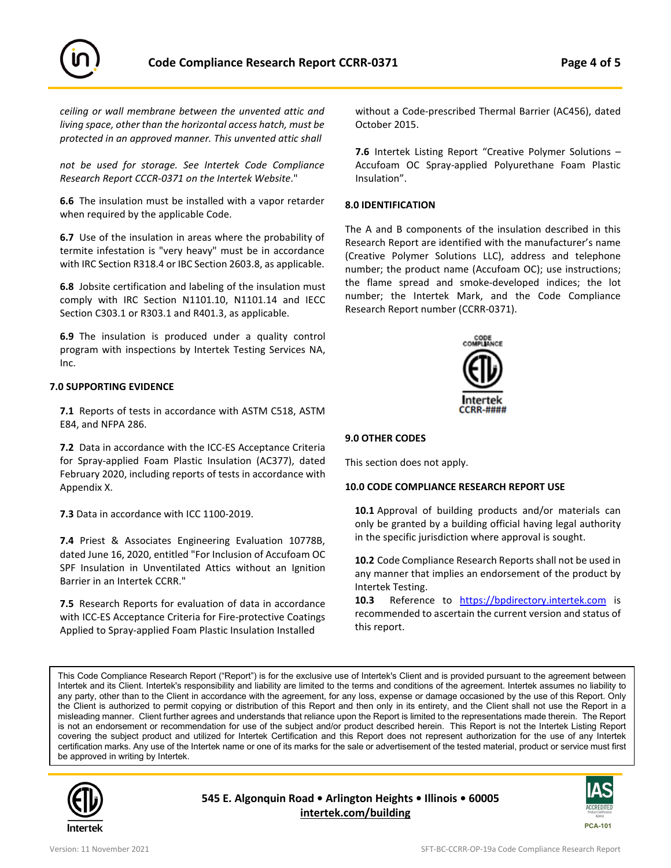



*ceiling or wall membrane between the unvented attic and living space, other than the horizontal access hatch, must be protected in an approved manner. This unvented attic shall* 

*not be used for storage. See Intertek Code Compliance Research Report CCCR-0371 on the Intertek Website*."

**6.6** The insulation must be installed with a vapor retarder when required by the applicable Code.

**6.7** Use of the insulation in areas where the probability of termite infestation is "very heavy" must be in accordance with IRC Section R318.4 or IBC Section 2603.8, as applicable.

**6.8** Jobsite certification and labeling of the insulation must comply with IRC Section N1101.10, N1101.14 and IECC Section C303.1 or R303.1 and R401.3, as applicable.

**6.9** The insulation is produced under a quality control program with inspections by Intertek Testing Services NA, Inc.

# **7.0 SUPPORTING EVIDENCE**

**7.1** Reports of tests in accordance with ASTM C518, ASTM E84, and NFPA 286.

**7.2** Data in accordance with the ICC-ES Acceptance Criteria for Spray-applied Foam Plastic Insulation (AC377), dated February 2020, including reports of tests in accordance with Appendix X.

**7.3** Data in accordance with ICC 1100-2019.

**7.4** Priest & Associates Engineering Evaluation 10778B, dated June 16, 2020, entitled "For Inclusion of Accufoam OC SPF Insulation in Unventilated Attics without an Ignition Barrier in an Intertek CCRR."

**7.5** Research Reports for evaluation of data in accordance with ICC-ES Acceptance Criteria for Fire-protective Coatings Applied to Spray-applied Foam Plastic Insulation Installed

without a Code-prescribed Thermal Barrier (AC456), dated October 2015.

**7.6** Intertek Listing Report "Creative Polymer Solutions – Accufoam OC Spray-applied Polyurethane Foam Plastic Insulation".

#### **8.0 IDENTIFICATION**

The A and B components of the insulation described in this Research Report are identified with the manufacturer's name (Creative Polymer Solutions LLC), address and telephone number; the product name (Accufoam OC); use instructions; the flame spread and smoke-developed indices; the lot number; the Intertek Mark, and the Code Compliance Research Report number (CCRR-0371).



#### **9.0 OTHER CODES**

This section does not apply.

#### **10.0 CODE COMPLIANCE RESEARCH REPORT USE**

**10.1** Approval of building products and/or materials can only be granted by a building official having legal authority in the specific jurisdiction where approval is sought.

**10.2** Code Compliance Research Reports shall not be used in any manner that implies an endorsement of the product by Intertek Testing.

**10.3** Reference to [https://bpdirectory.intertek.com](https://bpdirectory.intertek.com/pages/DLP_Search.aspx) is recommended to ascertain the current version and status of this report.

This Code Compliance Research Report ("Report") is for the exclusive use of Intertek's Client and is provided pursuant to the agreement between Intertek and its Client. Intertek's responsibility and liability are limited to the terms and conditions of the agreement. Intertek assumes no liability to any party, other than to the Client in accordance with the agreement, for any loss, expense or damage occasioned by the use of this Report. Only the Client is authorized to permit copying or distribution of this Report and then only in its entirety, and the Client shall not use the Report in a misleading manner. Client further agrees and understands that reliance upon the Report is limited to the representations made therein. The Report is not an endorsement or recommendation for use of the subject and/or product described herein. This Report is not the Intertek Listing Report covering the subject product and utilized for Intertek Certification and this Report does not represent authorization for the use of any Intertek certification marks. Any use of the Intertek name or one of its marks for the sale or advertisement of the tested material, product or service must first be approved in writing by Intertek.



**545 E. Algonquin Road • Arlington Heights • Illinois • 60005 [intertek.com/building](http://www.intertek.com/building/)**